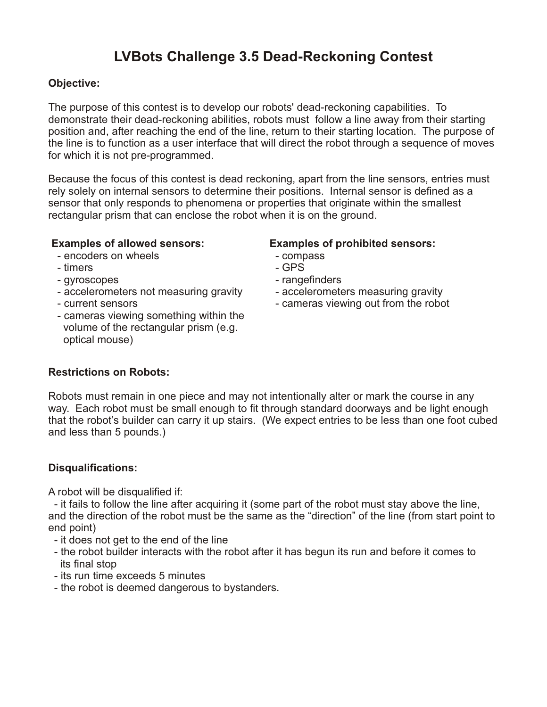# **LVBots Challenge 3.5 Dead-Reckoning Contest**

## **Objective:**

The purpose of this contest is to develop our robots' dead-reckoning capabilities. To demonstrate their dead-reckoning abilities, robots must follow a line away from their starting position and, after reaching the end of the line, return to their starting location. The purpose of the line is to function as a user interface that will direct the robot through a sequence of moves for which it is not pre-programmed.

Because the focus of this contest is dead reckoning, apart from the line sensors, entries must rely solely on internal sensors to determine their positions. Internal sensor is defined as a sensor that only responds to phenomena or properties that originate within the smallest rectangular prism that can enclose the robot when it is on the ground.

## **Examples of allowed sensors:**

- encoders on wheels
- timers
- gyroscopes
- accelerometers not measuring gravity
- current sensors
- cameras viewing something within the volume of the rectangular prism (e.g. optical mouse)

## **Examples of prohibited sensors:**

- compass
- GPS
- rangefinders
- accelerometers measuring gravity
- cameras viewing out from the robot

## **Restrictions on Robots:**

Robots must remain in one piece and may not intentionally alter or mark the course in any way. Each robot must be small enough to fit through standard doorways and be light enough that the robot's builder can carry it up stairs. (We expect entries to be less than one foot cubed and less than 5 pounds.)

## **Disqualifications:**

A robot will be disqualified if:

 - it fails to follow the line after acquiring it (some part of the robot must stay above the line, and the direction of the robot must be the same as the "direction" of the line (from start point to end point)

- it does not get to the end of the line
- the robot builder interacts with the robot after it has begun its run and before it comes to its final stop
- its run time exceeds 5 minutes
- the robot is deemed dangerous to bystanders.